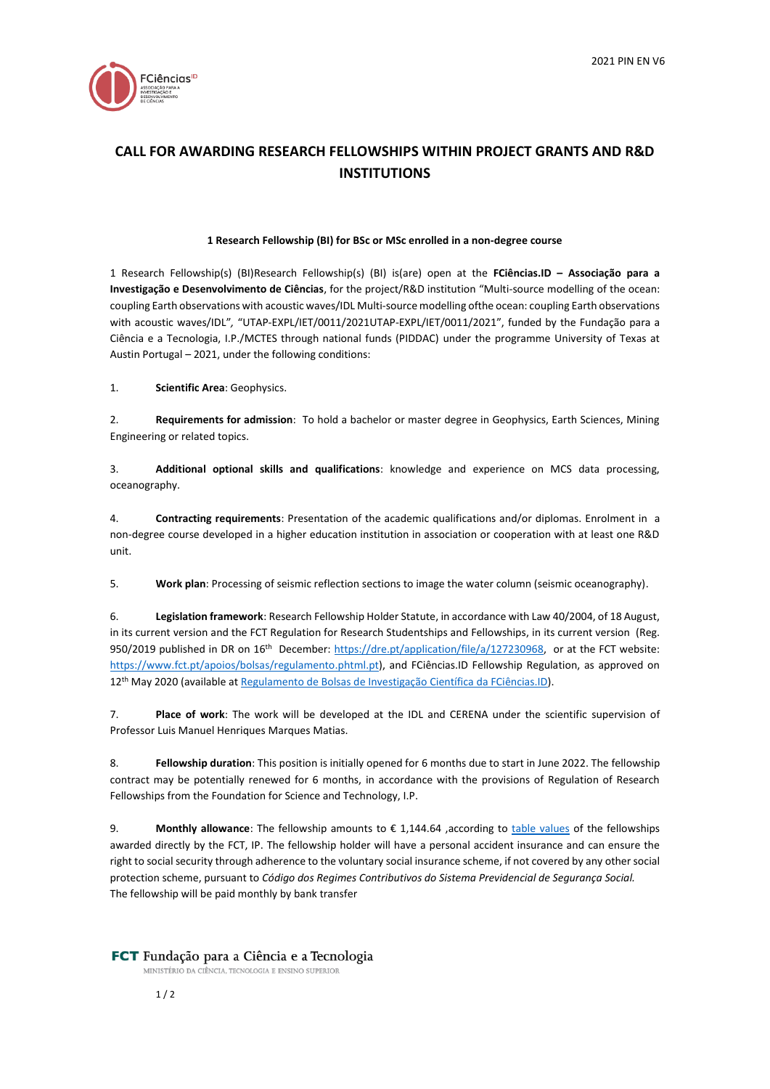

# **CALL FOR AWARDING RESEARCH FELLOWSHIPS WITHIN PROJECT GRANTS AND R&D INSTITUTIONS**

#### **1 Research Fellowship (BI) for BSc or MSc enrolled in a non-degree course**

1 Research Fellowship(s) (BI)Research Fellowship(s) (BI) is(are) open at the **FCiências.ID – Associação para a Investigação e Desenvolvimento de Ciências**, for the project/R&D institution "Multi-source modelling of the ocean: coupling Earth observations with acoustic waves/IDL Multi-source modelling ofthe ocean: coupling Earth observations with acoustic waves/IDL"*,* "UTAP-EXPL/IET/0011/2021UTAP-EXPL/IET/0011/2021", funded by the Fundação para a Ciência e a Tecnologia, I.P./MCTES through national funds (PIDDAC) under the programme University of Texas at Austin Portugal – 2021, under the following conditions:

1. **Scientific Area**: Geophysics.

2. **Requirements for admission**: To hold a bachelor or master degree in Geophysics, Earth Sciences, Mining Engineering or related topics.

3. **Additional optional skills and qualifications**: knowledge and experience on MCS data processing, oceanography.

4. **Contracting requirements**: Presentation of the academic qualifications and/or diplomas. Enrolment in a non-degree course developed in a higher education institution in association or cooperation with at least one R&D unit.

5. **Work plan**: Processing of seismic reflection sections to image the water column (seismic oceanography).

6. **Legislation framework**: Research Fellowship Holder Statute, in accordance with Law 40/2004, of 18 August, in its current version and the FCT Regulation for Research Studentships and Fellowships, in its current version (Reg. 950/2019 published in DR on 16<sup>th</sup> December: [https://dre.pt/application/file/a/127230968,](https://dre.pt/application/file/a/127230968) or at the FCT website: [https://www.fct.pt/apoios/bolsas/regulamento.phtml.pt\)](https://www.fct.pt/apoios/bolsas/regulamento.phtml.pt), and FCiências.ID Fellowship Regulation, as approved on 12th May 2020 (available a[t Regulamento de Bolsas de Investigação Científica](http://www.fciencias-id.pt/sites/fciencias-id/files/Regulamento%20Bolsas%20FCiencias-aprovado%20FCT-MAR2020.pdf) da FCiências.ID).

7. **Place of work**: The work will be developed at the IDL and CERENA under the scientific supervision of Professor Luis Manuel Henriques Marques Matias.

8. **Fellowship duration**: This position is initially opened for 6 months due to start in June 2022. The fellowship contract may be potentially renewed for 6 months, in accordance with the provisions of Regulation of Research Fellowships from the Foundation for Science and Technology, I.P.

9. **Monthly allowance**: The fellowship amounts to € 1,144.64 , according to [table values](http://www.fct.pt/apoios/bolsas/valores) of the fellowships awarded directly by the FCT, IP. The fellowship holder will have a personal accident insurance and can ensure the right to social security through adherence to the voluntary social insurance scheme, if not covered by any other social protection scheme, pursuant to *Código dos Regimes Contributivos do Sistema Previdencial de Segurança Social.* The fellowship will be paid monthly by bank transfer

### FCT Fundação para a Ciência e a Tecnologia

MINISTÉRIO DA CIÊNCIA, TECNOLOGIA E ENSINO SUPERIOR